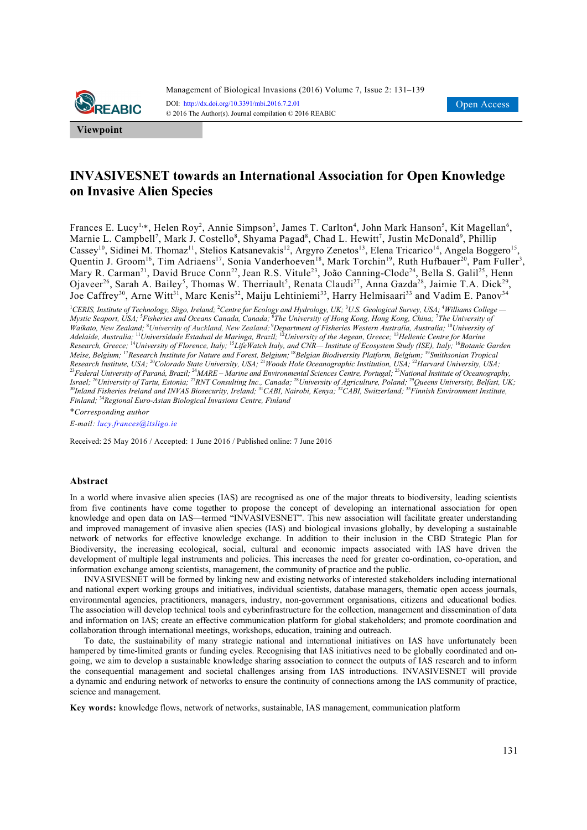

**Viewpoint**

# **INVASIVESNET towards an International Association for Open Knowledge on Invasive Alien Species**

Frances E. Lucy<sup>1,\*</sup>, Helen Roy<sup>2</sup>, Annie Simpson<sup>3</sup>, James T. Carlton<sup>4</sup>, John Mark Hanson<sup>5</sup>, Kit Magellan<sup>6</sup>, Marnie L. Campbell<sup>7</sup>, Mark J. Costello<sup>8</sup>, Shyama Pagad<sup>8</sup>, Chad L. Hewitt<sup>7</sup>, Justin McDonald<sup>9</sup>, Phillip Cassey<sup>10</sup>, Sidinei M. Thomaz<sup>11</sup>, Stelios Katsanevakis<sup>12</sup>, Argyro Zenetos<sup>13</sup>, Elena Tricarico<sup>14</sup>, Angela Boggero<sup>15</sup>, Quentin J. Groom<sup>16</sup>, Tim Adriaens<sup>17</sup>, Sonia Vanderhoeven<sup>18</sup>, Mark Torchin<sup>19</sup>, Ruth Hufbauer<sup>20</sup>, Pam Fuller<sup>3</sup>, Mary R. Carman<sup>21</sup>, David Bruce Conn<sup>22</sup>, Jean R.S. Vitule<sup>23</sup>, João Canning-Clode<sup>24</sup>, Bella S. Galil<sup>25</sup>, Henn Ojaveer<sup>26</sup>, Sarah A. Bailey<sup>5</sup>, Thomas W. Therriault<sup>5</sup>, Renata Claudi<sup>27</sup>, Anna Gazda<sup>28</sup>, Jaimie T.A. Dick<sup>29</sup>, Joe Caffrey<sup>30</sup>, Arne Witt<sup>31</sup>, Marc Kenis<sup>32</sup>, Maiju Lehtiniemi<sup>33</sup>, Harry Helmisaari<sup>33</sup> and Vadim E. Panov<sup>34</sup>

<sup>1</sup>CERIS, Institute of Technology, Sligo, Ireland; <sup>2</sup>Centre for Ecology and Hydrology, UK; <sup>3</sup>U.S. Geological Survey, USA; <sup>4</sup>Williams College — *Mystic Seaport, USA;* <sup>5</sup> *Fisheries and Oceans Canada, Canada;* <sup>6</sup> *The University of Hong Kong, Hong Kong, China;* <sup>7</sup> *The University of Waikato, New Zealand;* <sup>8</sup> *University of Auckland, New Zealand;*<sup>9</sup>*Department of Fisheries Western Australia, Australia;* <sup>10</sup>*University of Adelaide, Australia;* <sup>11</sup>*Universidade Estadual de Maringa, Brazil;* <sup>12</sup>*University of the Aegean, Greece;* <sup>13</sup>*Hellenic Centre for Marine Research, Greece;* <sup>14</sup>*University of Florence, Italy;* <sup>15</sup>*LifeWatch Italy, and CNR— Institute of Ecosystem Study (ISE), Italy;* <sup>16</sup>*Botanic Garden Meise, Belgium;* <sup>17</sup>*Research Institute for Nature and Forest, Belgium;* <sup>18</sup>*Belgian Biodiversity Platform, Belgium;* <sup>19</sup>*Smithsonian Tropical Research Institute, USA;* <sup>20</sup>*Colorado State University, USA;* <sup>21</sup>*Woods Hole Oceanographic Institution, USA;* <sup>22</sup>*Harvard University, USA;* <sup>23</sup>*Federal University of Paraná, Brazil;* <sup>24</sup>*MARE – Marine and Environmental Sciences Centre, Portugal;* <sup>25</sup>*National Institute of Oceanography, Israel;* <sup>26</sup>*University of Tartu, Estonia;* <sup>27</sup>*RNT Consulting Inc., Canada;* <sup>28</sup>*University of Agriculture, Poland;* <sup>29</sup>*Queens University, Belfast, UK;* <sup>30</sup>*Inland Fisheries Ireland and INVAS Biosecurity, Ireland;* <sup>31</sup>*CABI, Nairobi, Kenya;* <sup>32</sup>*CABI, Switzerland;* <sup>33</sup>*Finnish Environment Institute, Finland;* <sup>34</sup>*Regional Euro-Asian Biological Invasions Centre, Finland* 

\**Corresponding author*

*E-mail: lucy.frances@itsligo.ie*

Received: 25 May 2016 / Accepted: 1 June 2016 / Published online: 7 June 2016

### **Abstract**

In a world where invasive alien species (IAS) are recognised as one of the major threats to biodiversity, leading scientists from five continents have come together to propose the concept of developing an international association for open knowledge and open data on IAS—termed "INVASIVESNET". This new association will facilitate greater understanding and improved management of invasive alien species (IAS) and biological invasions globally, by developing a sustainable network of networks for effective knowledge exchange. In addition to their inclusion in the CBD Strategic Plan for Biodiversity, the increasing ecological, social, cultural and economic impacts associated with IAS have driven the development of multiple legal instruments and policies. This increases the need for greater co-ordination, co-operation, and information exchange among scientists, management, the community of practice and the public.

INVASIVESNET will be formed by linking new and existing networks of interested stakeholders including international and national expert working groups and initiatives, individual scientists, database managers, thematic open access journals, environmental agencies, practitioners, managers, industry, non-government organisations, citizens and educational bodies. The association will develop technical tools and cyberinfrastructure for the collection, management and dissemination of data and information on IAS; create an effective communication platform for global stakeholders; and promote coordination and collaboration through international meetings, workshops, education, training and outreach.

To date, the sustainability of many strategic national and international initiatives on IAS have unfortunately been hampered by time-limited grants or funding cycles. Recognising that IAS initiatives need to be globally coordinated and ongoing, we aim to develop a sustainable knowledge sharing association to connect the outputs of IAS research and to inform the consequential management and societal challenges arising from IAS introductions. INVASIVESNET will provide a dynamic and enduring network of networks to ensure the continuity of connections among the IAS community of practice, science and management.

**Key words:** knowledge flows, network of networks, sustainable, IAS management, communication platform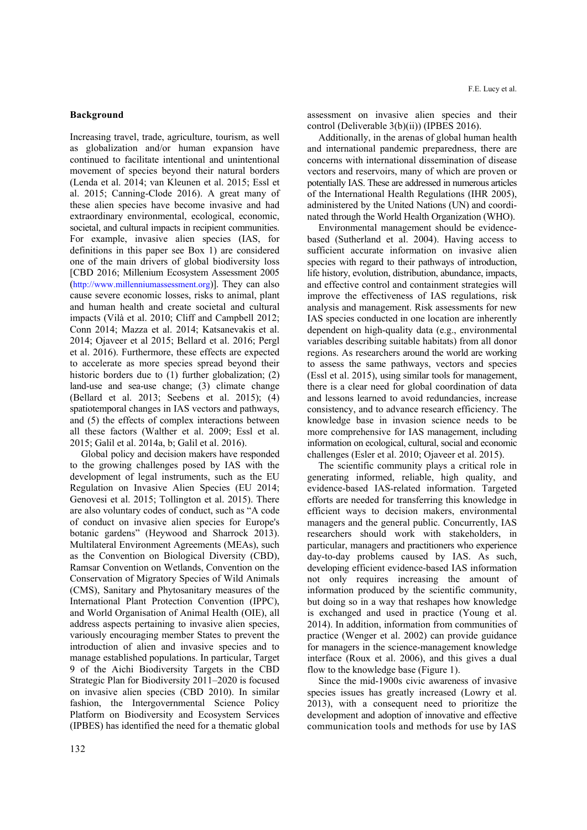# **Background**

Increasing travel, trade, agriculture, tourism, as well as globalization and/or human expansion have continued to facilitate intentional and unintentional movement of species beyond their natural borders (Lenda et al. 2014; van Kleunen et al. 2015; Essl et al. 2015; Canning-Clode 2016). A great many of these alien species have become invasive and had extraordinary environmental, ecological, economic, societal, and cultural impacts in recipient communities. For example, invasive alien species (IAS, for definitions in this paper see Box 1) are considered one of the main drivers of global biodiversity loss [CBD 2016; Millenium Ecosystem Assessment 2005 (http://www.millenniumassessment.org)]. They can also cause severe economic losses, risks to animal, plant and human health and create societal and cultural impacts (Vilà et al. 2010; Cliff and Campbell 2012; Conn 2014; Mazza et al. 2014; Katsanevakis et al. 2014; Ojaveer et al 2015; Bellard et al. 2016; Pergl et al. 2016). Furthermore, these effects are expected to accelerate as more species spread beyond their historic borders due to (1) further globalization; (2) land-use and sea-use change; (3) climate change (Bellard et al. 2013; Seebens et al. 2015); (4) spatiotemporal changes in IAS vectors and pathways, and (5) the effects of complex interactions between all these factors (Walther et al. 2009; Essl et al. 2015; Galil et al. 2014a, b; Galil et al. 2016).

Global policy and decision makers have responded to the growing challenges posed by IAS with the development of legal instruments, such as the EU Regulation on Invasive Alien Species (EU 2014; Genovesi et al. 2015; Tollington et al. 2015). There are also voluntary codes of conduct, such as "A code of conduct on invasive alien species for Europe's botanic gardens" (Heywood and Sharrock 2013). Multilateral Environment Agreements (MEAs), such as the Convention on Biological Diversity (CBD), Ramsar Convention on Wetlands, Convention on the Conservation of Migratory Species of Wild Animals (CMS), Sanitary and Phytosanitary measures of the International Plant Protection Convention (IPPC), and World Organisation of Animal Health (OIE), all address aspects pertaining to invasive alien species, variously encouraging member States to prevent the introduction of alien and invasive species and to manage established populations. In particular, Target 9 of the Aichi Biodiversity Targets in the CBD Strategic Plan for Biodiversity 2011–2020 is focused on invasive alien species (CBD 2010). In similar fashion, the Intergovernmental Science Policy Platform on Biodiversity and Ecosystem Services (IPBES) has identified the need for a thematic global assessment on invasive alien species and their control (Deliverable 3(b)(ii)) (IPBES 2016).

Additionally, in the arenas of global human health and international pandemic preparedness, there are concerns with international dissemination of disease vectors and reservoirs, many of which are proven or potentially IAS. These are addressed in numerous articles of the International Health Regulations (IHR 2005), administered by the United Nations (UN) and coordinated through the World Health Organization (WHO).

Environmental management should be evidencebased (Sutherland et al. 2004). Having access to sufficient accurate information on invasive alien species with regard to their pathways of introduction, life history, evolution, distribution, abundance, impacts, and effective control and containment strategies will improve the effectiveness of IAS regulations, risk analysis and management. Risk assessments for new IAS species conducted in one location are inherently dependent on high-quality data (e.g., environmental variables describing suitable habitats) from all donor regions. As researchers around the world are working to assess the same pathways, vectors and species (Essl et al. 2015), using similar tools for management, there is a clear need for global coordination of data and lessons learned to avoid redundancies, increase consistency, and to advance research efficiency. The knowledge base in invasion science needs to be more comprehensive for IAS management, including information on ecological, cultural, social and economic challenges (Esler et al. 2010; Ojaveer et al. 2015).

The scientific community plays a critical role in generating informed, reliable, high quality, and evidence-based IAS-related information. Targeted efforts are needed for transferring this knowledge in efficient ways to decision makers, environmental managers and the general public. Concurrently, IAS researchers should work with stakeholders, in particular, managers and practitioners who experience day-to-day problems caused by IAS. As such, developing efficient evidence-based IAS information not only requires increasing the amount of information produced by the scientific community, but doing so in a way that reshapes how knowledge is exchanged and used in practice (Young et al. 2014). In addition, information from communities of practice (Wenger et al. 2002) can provide guidance for managers in the science-management knowledge interface (Roux et al. 2006), and this gives a dual flow to the knowledge base (Figure 1).

Since the mid-1900s civic awareness of invasive species issues has greatly increased (Lowry et al. 2013), with a consequent need to prioritize the development and adoption of innovative and effective communication tools and methods for use by IAS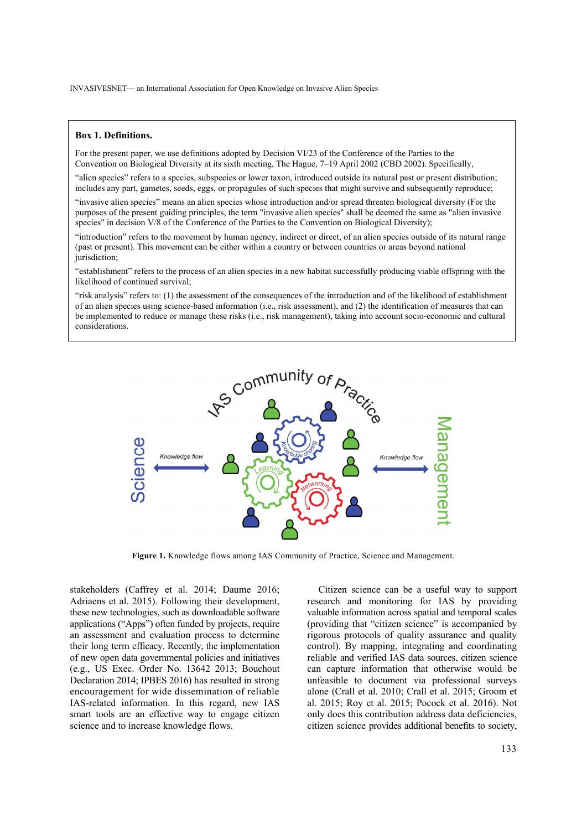### **Box 1. Definitions.**

For the present paper, we use definitions adopted by Decision VI/23 of the Conference of the Parties to the Convention on Biological Diversity at its sixth meeting, The Hague, 7–19 April 2002 (CBD 2002). Specifically,

"alien species" refers to a species, subspecies or lower taxon, introduced outside its natural past or present distribution; includes any part, gametes, seeds, eggs, or propagules of such species that might survive and subsequently reproduce;

"invasive alien species" means an alien species whose introduction and/or spread threaten biological diversity (For the purposes of the present guiding principles, the term "invasive alien species" shall be deemed the same as "alien invasive species" in decision V/8 of the Conference of the Parties to the Convention on Biological Diversity);

"introduction" refers to the movement by human agency, indirect or direct, of an alien species outside of its natural range (past or present). This movement can be either within a country or between countries or areas beyond national jurisdiction;

"establishment" refers to the process of an alien species in a new habitat successfully producing viable offspring with the likelihood of continued survival;

"risk analysis" refers to: (1) the assessment of the consequences of the introduction and of the likelihood of establishment of an alien species using science-based information (i.e., risk assessment), and (2) the identification of measures that can be implemented to reduce or manage these risks (i.e., risk management), taking into account socio-economic and cultural considerations.



**Figure 1.** Knowledge flows among IAS Community of Practice, Science and Management.

stakeholders (Caffrey et al. 2014; Daume 2016; Adriaens et al. 2015). Following their development, these new technologies, such as downloadable software applications ("Apps") often funded by projects, require an assessment and evaluation process to determine their long term efficacy. Recently, the implementation of new open data governmental policies and initiatives (e.g., US Exec. Order No. 13642 2013; Bouchout Declaration 2014; IPBES 2016) has resulted in strong encouragement for wide dissemination of reliable IAS-related information. In this regard, new IAS smart tools are an effective way to engage citizen science and to increase knowledge flows.

Citizen science can be a useful way to support research and monitoring for IAS by providing valuable information across spatial and temporal scales (providing that "citizen science" is accompanied by rigorous protocols of quality assurance and quality control). By mapping, integrating and coordinating reliable and verified IAS data sources, citizen science can capture information that otherwise would be unfeasible to document via professional surveys alone (Crall et al. 2010; Crall et al. 2015; Groom et al. 2015; Roy et al. 2015; Pocock et al. 2016). Not only does this contribution address data deficiencies, citizen science provides additional benefits to society,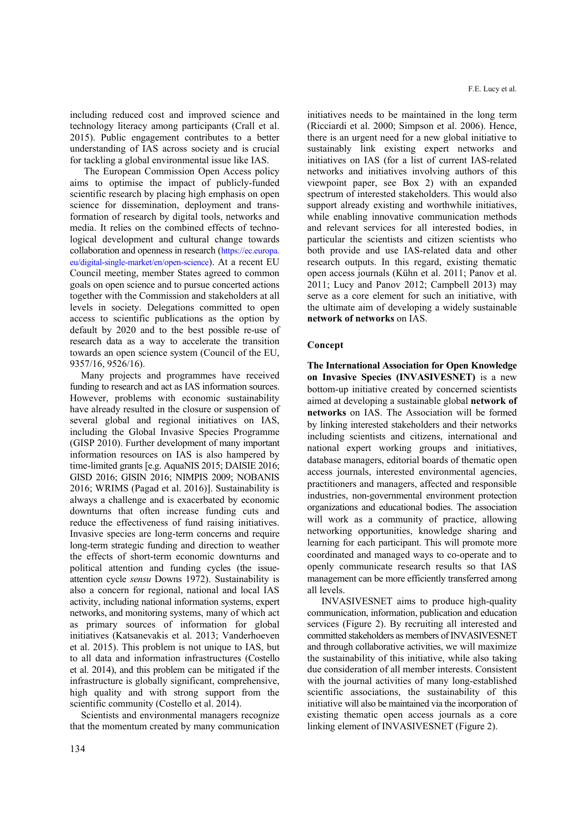including reduced cost and improved science and technology literacy among participants (Crall et al. 2015). Public engagement contributes to a better understanding of IAS across society and is crucial for tackling a global environmental issue like IAS.

The European Commission Open Access policy aims to optimise the impact of publicly-funded scientific research by placing high emphasis on open science for dissemination, deployment and transformation of research by digital tools, networks and media. It relies on the combined effects of technological development and cultural change towards collaboration and openness in research (https://ec.europa. eu/digital-single-market/en/open-science). At a recent EU Council meeting, member States agreed to common goals on open science and to pursue concerted actions together with the Commission and stakeholders at all levels in society. Delegations committed to open access to scientific publications as the option by default by 2020 and to the best possible re-use of research data as a way to accelerate the transition towards an open science system (Council of the EU, 9357/16, 9526/16).

Many projects and programmes have received funding to research and act as IAS information sources. However, problems with economic sustainability have already resulted in the closure or suspension of several global and regional initiatives on IAS, including the Global Invasive Species Programme (GISP 2010). Further development of many important information resources on IAS is also hampered by time-limited grants [e.g. AquaNIS 2015; DAISIE 2016; GISD 2016; GISIN 2016; NIMPIS 2009; NOBANIS 2016; WRIMS (Pagad et al. 2016)]. Sustainability is always a challenge and is exacerbated by economic downturns that often increase funding cuts and reduce the effectiveness of fund raising initiatives. Invasive species are long-term concerns and require long-term strategic funding and direction to weather the effects of short-term economic downturns and political attention and funding cycles (the issueattention cycle *sensu* Downs 1972). Sustainability is also a concern for regional, national and local IAS activity, including national information systems, expert networks, and monitoring systems, many of which act as primary sources of information for global initiatives (Katsanevakis et al. 2013; Vanderhoeven et al. 2015). This problem is not unique to IAS, but to all data and information infrastructures (Costello et al. 2014), and this problem can be mitigated if the infrastructure is globally significant, comprehensive, high quality and with strong support from the scientific community (Costello et al. 2014).

Scientists and environmental managers recognize that the momentum created by many communication initiatives needs to be maintained in the long term (Ricciardi et al. 2000; Simpson et al. 2006). Hence, there is an urgent need for a new global initiative to sustainably link existing expert networks and initiatives on IAS (for a list of current IAS-related networks and initiatives involving authors of this viewpoint paper, see Box 2) with an expanded spectrum of interested stakeholders. This would also support already existing and worthwhile initiatives, while enabling innovative communication methods and relevant services for all interested bodies, in particular the scientists and citizen scientists who both provide and use IAS-related data and other research outputs. In this regard, existing thematic open access journals (Kühn et al. 2011; Panov et al. 2011; Lucy and Panov 2012; Campbell 2013) may serve as a core element for such an initiative, with the ultimate aim of developing a widely sustainable **network of networks** on IAS.

# **Concept**

**The International Association for Open Knowledge on Invasive Species (INVASIVESNET)** is a new bottom-up initiative created by concerned scientists aimed at developing a sustainable global **network of networks** on IAS. The Association will be formed by linking interested stakeholders and their networks including scientists and citizens, international and national expert working groups and initiatives, database managers, editorial boards of thematic open access journals, interested environmental agencies, practitioners and managers, affected and responsible industries, non-governmental environment protection organizations and educational bodies. The association will work as a community of practice, allowing networking opportunities, knowledge sharing and learning for each participant. This will promote more coordinated and managed ways to co-operate and to openly communicate research results so that IAS management can be more efficiently transferred among all levels.

INVASIVESNET aims to produce high-quality communication, information, publication and education services (Figure 2). By recruiting all interested and committed stakeholders as members of INVASIVESNET and through collaborative activities, we will maximize the sustainability of this initiative, while also taking due consideration of all member interests. Consistent with the journal activities of many long-established scientific associations, the sustainability of this initiative will also be maintained via the incorporation of existing thematic open access journals as a core linking element of INVASIVESNET (Figure 2).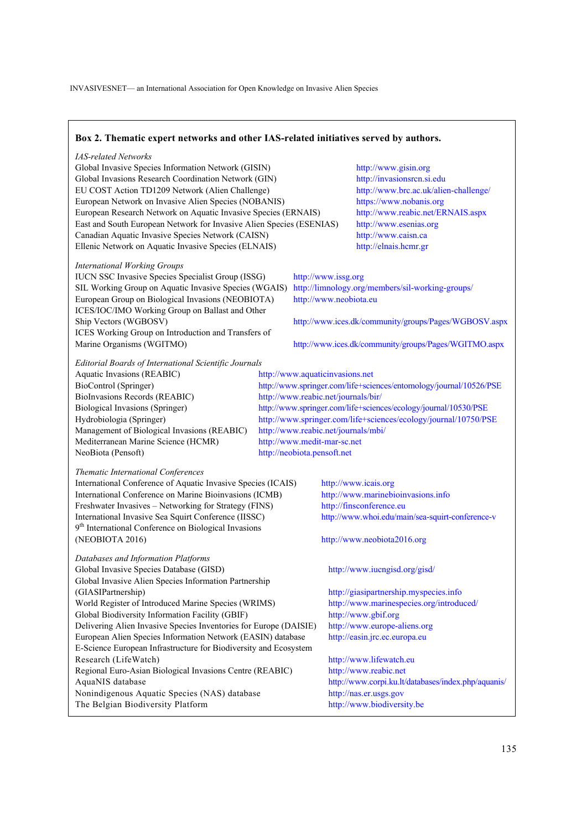# **Box 2. Thematic expert networks and other IAS-related initiatives served by authors.**

### *IAS-related Networks*

Global Invasive Species Information Network (GISIN) http://www.gisin.org Global Invasions Research Coordination Network (GIN) http://invasionsrcn.si.edu EU COST Action TD1209 Network (Alien Challenge) http://www.brc.ac.uk/alien-challenge/ European Network on Invasive Alien Species (NOBANIS) https://www.nobanis.org European Research Network on Aquatic Invasive Species (ERNAIS) http://www.reabic.net/ERNAIS.aspx East and South European Network for Invasive Alien Species (ESENIAS) http://www.esenias.org Canadian Aquatic Invasive Species Network (CAISN) http://www.caisn.ca Ellenic Network on Aquatic Invasive Species (ELNAIS) http://elnais.hcmr.gr

### *International Working Groups*

IUCN SSC Invasive Species Specialist Group (ISSG) http://www.issg.org SIL Working Group on Aquatic Invasive Species (WGAIS) http://limnology.org/members/sil-working-groups/ European Group on Biological Invasions (NEOBIOTA) http://www.neobiota.eu ICES/IOC/IMO Working Group on Ballast and Other ICES Working Group on Introduction and Transfers of Marine Organisms (WGITMO) http://www.ices.dk/community/groups/Pages/WGITMO.aspx

Ship Vectors (WGBOSV) http://www.ices.dk/community/groups/Pages/WGBOSV.aspx

### *Editorial Boards of International Scientific Journals*

Aquatic Invasions (REABIC) http://www.aquaticinvasions.net BioInvasions Records (REABIC) http://www.reabic.net/journals/bir/ Management of Biological Invasions (REABIC) http://www.reabic.net/journals/mbi/ Mediterranean Marine Science (HCMR) http://www.medit-mar-sc.net NeoBiota (Pensoft) http://neobiota.pensoft.net

BioControl (Springer) http://www.springer.com/life+sciences/entomology/journal/10526/PSE Biological Invasions (Springer) http://www.springer.com/life+sciences/ecology/journal/10530/PSE Hydrobiologia (Springer) http://www.springer.com/life+sciences/ecology/journal/10750/PSE

### *Thematic International Conferences*

International Conference of Aquatic Invasive Species (ICAIS) http://www.icais.org International Conference on Marine Bioinvasions (ICMB) http://www.marinebioinvasions.info Freshwater Invasives – Networking for Strategy (FINS) http://finsconference.eu International Invasive Sea Squirt Conference (IISSC) http://www.whoi.edu/main/sea-squirt-conference-v 9<sup>th</sup> International Conference on Biological Invasions (NEOBIOTA 2016) http://www.neobiota2016.org

*Databases and Information Platforms*  Global Invasive Species Database (GISD) http://www.iucngisd.org/gisd/ Global Invasive Alien Species Information Partnership (GIASIPartnership) http://giasipartnership.myspecies.info World Register of Introduced Marine Species (WRIMS) http://www.marinespecies.org/introduced/ Global Biodiversity Information Facility (GBIF) http://www.gbif.org Delivering Alien Invasive Species Inventories for Europe (DAISIE) http://www.europe-aliens.org European Alien Species Information Network (EASIN) database http://easin.jrc.ec.europa.eu E-Science European Infrastructure for Biodiversity and Ecosystem Research (LifeWatch) http://www.lifewatch.eu Regional Euro-Asian Biological Invasions Centre (REABIC) http://www.reabic.net AquaNIS database http://www.corpi.ku.lt/databases/index.php/aquanis/ Nonindigenous Aquatic Species (NAS) database http://nas.er.usgs.gov The Belgian Biodiversity Platform http://www.biodiversity.be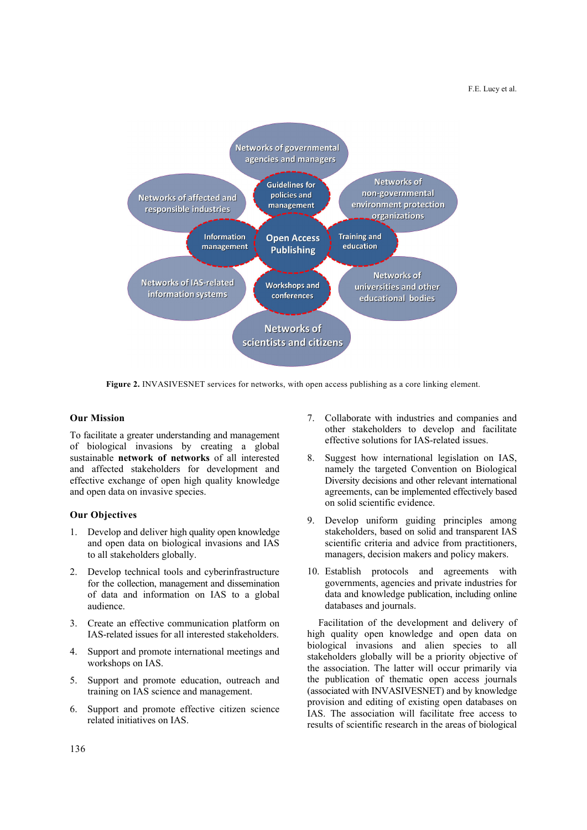

**Figure 2.** INVASIVESNET services for networks, with open access publishing as a core linking element.

# **Our Mission**

To facilitate a greater understanding and management of biological invasions by creating a global sustainable **network of networks** of all interested and affected stakeholders for development and effective exchange of open high quality knowledge and open data on invasive species.

# **Our Objectives**

- 1. Develop and deliver high quality open knowledge and open data on biological invasions and IAS to all stakeholders globally.
- 2. Develop technical tools and cyberinfrastructure for the collection, management and dissemination of data and information on IAS to a global audience.
- 3. Create an effective communication platform on IAS-related issues for all interested stakeholders.
- 4. Support and promote international meetings and workshops on IAS.
- 5. Support and promote education, outreach and training on IAS science and management.
- 6. Support and promote effective citizen science related initiatives on IAS.
- 7. Collaborate with industries and companies and other stakeholders to develop and facilitate effective solutions for IAS-related issues.
- 8. Suggest how international legislation on IAS, namely the targeted Convention on Biological Diversity decisions and other relevant international agreements, can be implemented effectively based on solid scientific evidence.
- 9. Develop uniform guiding principles among stakeholders, based on solid and transparent IAS scientific criteria and advice from practitioners, managers, decision makers and policy makers.
- 10. Establish protocols and agreements with governments, agencies and private industries for data and knowledge publication, including online databases and journals.

Facilitation of the development and delivery of high quality open knowledge and open data on biological invasions and alien species to all stakeholders globally will be a priority objective of the association. The latter will occur primarily via the publication of thematic open access journals (associated with INVASIVESNET) and by knowledge provision and editing of existing open databases on IAS. The association will facilitate free access to results of scientific research in the areas of biological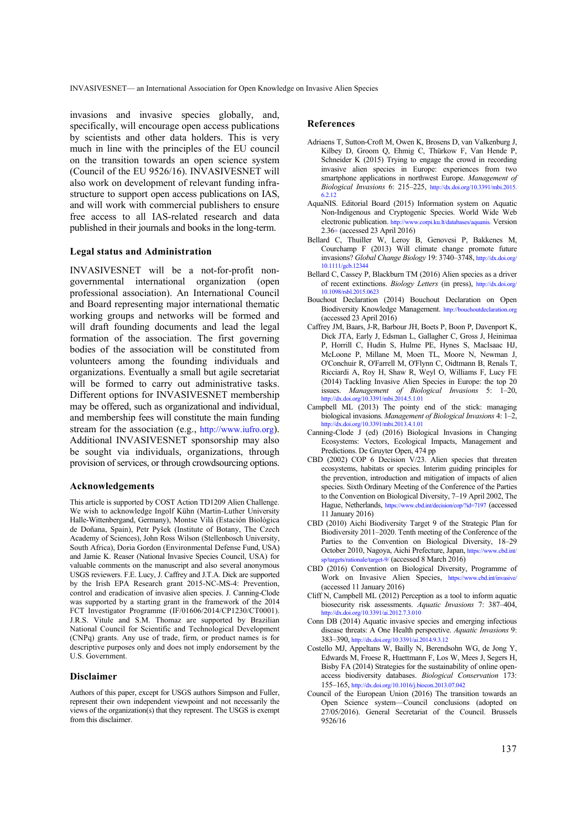invasions and invasive species globally, and, specifically, will encourage open access publications by scientists and other data holders. This is very much in line with the principles of the EU council on the transition towards an open science system (Council of the EU 9526/16). INVASIVESNET will also work on development of relevant funding infrastructure to support open access publications on IAS, and will work with commercial publishers to ensure free access to all IAS-related research and data published in their journals and books in the long-term.

### **Legal status and Administration**

INVASIVESNET will be a not-for-profit nongovernmental international organization (open professional association). An International Council and Board representing major international thematic working groups and networks will be formed and will draft founding documents and lead the legal formation of the association. The first governing bodies of the association will be constituted from volunteers among the founding individuals and organizations. Eventually a small but agile secretariat will be formed to carry out administrative tasks. Different options for INVASIVESNET membership may be offered, such as organizational and individual, and membership fees will constitute the main funding stream for the association (e.g., http://www.iufro.org). Additional INVASIVESNET sponsorship may also be sought via individuals, organizations, through provision of services, or through crowdsourcing options.

### **Acknowledgements**

This article is supported by COST Action TD1209 Alien Challenge. We wish to acknowledge Ingolf Kühn (Martin-Luther University Halle-Wittenbergand, Germany), Montse Vilà (Estación Biológica de Doñana, Spain), Petr Pyšek (Institute of Botany, The Czech Academy of Sciences), John Ross Wilson (Stellenbosch University, South Africa), Doria Gordon (Environmental Defense Fund, USA) and Jamie K. Reaser (National Invasive Species Council, USA) for valuable comments on the manuscript and also several anonymous USGS reviewers. F.E. Lucy, J. Caffrey and J.T.A. Dick are supported by the Irish EPA Research grant 2015-NC-MS-4: Prevention, control and eradication of invasive alien species. J. Canning-Clode was supported by a starting grant in the framework of the 2014 FCT Investigator Programme (IF/01606/2014/CP1230/CT0001). J.R.S. Vitule and S.M. Thomaz are supported by Brazilian National Council for Scientific and Technological Development (CNPq) grants. Any use of trade, firm, or product names is for descriptive purposes only and does not imply endorsement by the U.S. Government.

## **Disclaimer**

Authors of this paper, except for USGS authors Simpson and Fuller, represent their own independent viewpoint and not necessarily the views of the organization(s) that they represent. The USGS is exempt from this disclaimer.

### **References**

- Adriaens T, Sutton-Croft M, Owen K, Brosens D, van Valkenburg J, Kilbey D, Groom Q, Ehmig C, Thürkow F, Van Hende P, Schneider K (2015) Trying to engage the crowd in recording invasive alien species in Europe: experiences from two smartphone applications in northwest Europe. *Management of Biological Invasions* 6: 215–225, http://dx.doi.org/10.3391/mbi.2015. 6.2.12
- AquaNIS. Editorial Board (2015) Information system on Aquatic Non-Indigenous and Cryptogenic Species. World Wide Web electronic publication. http://www.corpi.ku.lt/databases/aquanis. Version 2.36+ (accessed 23 April 2016)
- Bellard C, Thuiller W, Leroy B, Genovesi P, Bakkenes M, Courchamp F (2013) Will climate change promote future invasions? *Global Change Biology* 19: 3740–3748, http://dx.doi.org/ 10.1111/gcb.12344
- Bellard C, Cassey P, Blackburn TM (2016) Alien species as a driver of recent extinctions. *Biology Letters* (in press), http://dx.doi.org/ 10.1098/rsbl.2015.0623
- Bouchout Declaration (2014) Bouchout Declaration on Open Biodiversity Knowledge Management. http://bouchoutdeclaration.org (accessed 23 April 2016)
- Caffrey JM, Baars, J-R, Barbour JH, Boets P, Boon P, Davenport K, Dick JTA, Early J, Edsman L, Gallagher C, Gross J, Heinimaa P, Horrill C, Hudin S, Hulme PE, Hynes S, MacIsaac HJ, McLoone P, Millane M, Moen TL, Moore N, Newman J, O'Conchuir R, O'Farrell M, O'Flynn C, Oidtmann B, Renals T, Ricciardi A, Roy H, Shaw R, Weyl O, Williams F, Lucy FE (2014) Tackling Invasive Alien Species in Europe: the top 20 issues. *Management of Biological Invasions* 5: 1–20, http://dx.doi.org/10.3391/mbi.2014.5.1.01
- Campbell ML (2013) The pointy end of the stick: managing biological invasions. *Management of Biological Invasions* 4: 1–2, http://dx.doi.org/10.3391/mbi.2013.4.1.01
- Canning-Clode J (ed) (2016) Biological Invasions in Changing Ecosystems: Vectors, Ecological Impacts, Management and Predictions. De Gruyter Open, 474 pp
- CBD (2002) COP 6 Decision V/23. Alien species that threaten ecosystems, habitats or species. Interim guiding principles for the prevention, introduction and mitigation of impacts of alien species. Sixth Ordinary Meeting of the Conference of the Parties to the Convention on Biological Diversity, 7–19 April 2002, The Hague, Netherlands, https://www.cbd.int/decision/cop/?id=7197 (accessed 11 January 2016)
- CBD (2010) Aichi Biodiversity Target 9 of the Strategic Plan for Biodiversity 2011–2020. Tenth meeting of the Conference of the Parties to the Convention on Biological Diversity, 18–29 October 2010, Nagoya, Aichi Prefecture, Japan, https://www.cbd.int/ sp/targets/rationale/target-9/ (accessed 8 March 2016)
- CBD (2016) Convention on Biological Diversity, Programme of Work on Invasive Alien Species, https://www.cbd.int/invasive/ (accessed 11 January 2016)
- Cliff N, Campbell ML (2012) Perception as a tool to inform aquatic biosecurity risk assessments. *Aquatic Invasions* 7: 387–404, http://dx.doi.org/10.3391/ai.2012.7.3.010
- Conn DB (2014) Aquatic invasive species and emerging infectious disease threats: A One Health perspective. *Aquatic Invasions* 9: 383–390, http://dx.doi.org/10.3391/ai.2014.9.3.12
- Costello MJ, Appeltans W, Bailly N, Berendsohn WG, de Jong Y, Edwards M, Froese R, Huettmann F, Los W, Mees J, Segers H, Bisby FA (2014) Strategies for the sustainability of online openaccess biodiversity databases. *Biological Conservation* 173: 155–165, http://dx.doi.org/10.1016/j.biocon.2013.07.042
- Council of the European Union (2016) The transition towards an Open Science system—Council conclusions (adopted on 27/05/2016). General Secretariat of the Council. Brussels 9526/16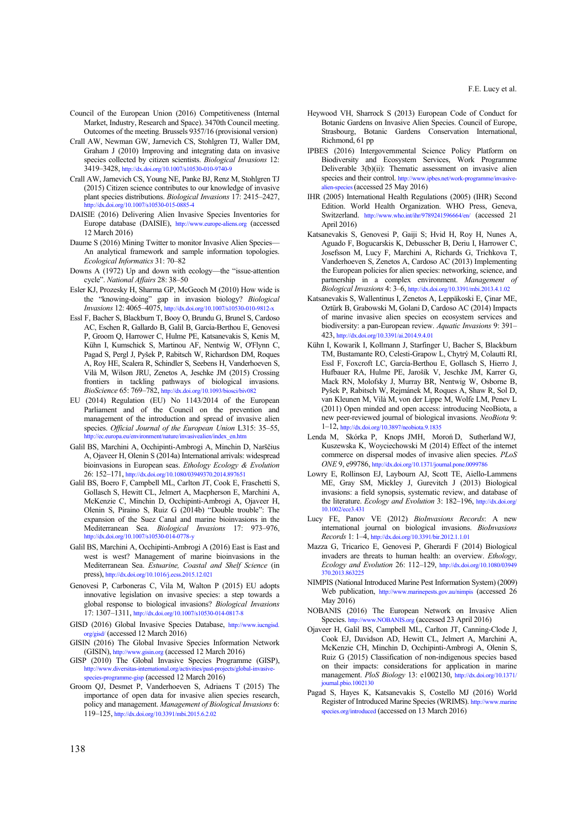- Council of the European Union (2016) Competitiveness (Internal Market, Industry, Research and Space). 3470th Council meeting. Outcomes of the meeting. Brussels 9357/16 (provisional version)
- Crall AW, Newman GW, Jarnevich CS, Stohlgren TJ, Waller DM, Graham J (2010) Improving and integrating data on invasive species collected by citizen scientists. *Biological Invasions* 12: 3419–3428, http://dx.doi.org/10.1007/s10530-010-9740-9
- Crall AW, Jarnevich CS, Young NE, Panke BJ, Renz M, Stohlgren TJ (2015) Citizen science contributes to our knowledge of invasive plant species distributions. *Biological Invasions* 17: 2415–2427, http://dx.doi.org/10.1007/s10530-015-0885-4
- DAISIE (2016) Delivering Alien Invasive Species Inventories for Europe database (DAISIE), http://www.europe-aliens.org (accessed 12 March 2016)
- Daume S (2016) Mining Twitter to monitor Invasive Alien Species— An analytical framework and sample information topologies. *Ecological Informatics* 31: 70–82
- Downs A (1972) Up and down with ecology—the "issue-attention cycle". *National Affairs* 28: 38–50
- Esler KJ, Prozesky H, Sharma GP, McGeoch M (2010) How wide is the "knowing-doing" gap in invasion biology? *Biological Invasions* 12: 4065–4075, http://dx.doi.org/10.1007/s10530-010-9812-x
- Essl F, Bacher S, Blackburn T, Booy O, Brundu G, Brunel S, Cardoso AC, Eschen R, Gallardo B, Galil B, García-Berthou E, Genovesi P, Groom Q, Harrower C, Hulme PE, Katsanevakis S, Kenis M, Kühn I, Kumschick S, Martinou AF, Nentwig W, O'Flynn C, Pagad S, Pergl J, Pyšek P, Rabitsch W, Richardson DM, Roques A, Roy HE, Scalera R, Schindler S, Seebens H, Vanderhoeven S, Vilà M, Wilson JRU, Zenetos A, Jeschke JM (2015) Crossing frontiers in tackling pathways of biological invasions. *BioScience* 65: 769–782, http://dx.doi.org/10.1093/biosci/biv082
- EU (2014) Regulation (EU) No 1143/2014 of the European Parliament and of the Council on the prevention and management of the introduction and spread of invasive alien species. *Official Journal of the European Union* L315: 35–55, http://ec.europa.eu/environment/nature/invasivealien/index\_en.htm
- Galil BS, Marchini A, Occhipinti-Ambrogi A, Minchin D, Narščius A, Ojaveer H, Olenin S (2014a) International arrivals: widespread bioinvasions in European seas. *Ethology Ecology & Evolution* 26: 152–171, http://dx.doi.org/10.1080/03949370.2014.897651
- Galil BS, Boero F, Campbell ML, Carlton JT, Cook E, Fraschetti S, Gollasch S, Hewitt CL, Jelmert A, Macpherson E, Marchini A, McKenzie C, Minchin D, Occhipinti-Ambrogi A, Ojaveer H, Olenin S, Piraino S, Ruiz G (2014b) "Double trouble": The expansion of the Suez Canal and marine bioinvasions in the Mediterranean Sea. *Biological Invasions* 17: 973–976, http://dx.doi.org/10.1007/s10530-014-0778-y
- Galil BS, Marchini A, Occhipinti-Ambrogi A (2016) East is East and west is west? Management of marine bioinvasions in the Mediterranean Sea. *Estuarine, Coastal and Shelf Science* (in press), http://dx.doi.org/10.1016/j.ecss.2015.12.021
- Genovesi P, Carboneras C, Vila M, Walton P (2015) EU adopts innovative legislation on invasive species: a step towards a global response to biological invasions? *Biological Invasions* 17: 1307–1311, http://dx.doi.org/10.1007/s10530-014-0817-8
- GISD (2016) Global Invasive Species Database, http://www.iucngisd. org/gisd/ (accessed 12 March 2016)
- GISIN (2016) The Global Invasive Species Information Network (GISIN), http://www.gisin.org (accessed 12 March 2016)
- GISP (2010) The Global Invasive Species Programme (GISP), http://www.diversitas-international.org/activities/past-projects/global-invasivespecies-programme-gisp (accessed 12 March 2016)
- Groom QJ, Desmet P, Vanderhoeven S, Adriaens T (2015) The importance of open data for invasive alien species research, policy and management. *Management of Biological Invasions* 6: 119–125, http://dx.doi.org/10.3391/mbi.2015.6.2.02
- Heywood VH, Sharrock S (2013) European Code of Conduct for Botanic Gardens on Invasive Alien Species. Council of Europe, Strasbourg, Botanic Gardens Conservation International, Richmond, 61 pp
- IPBES (2016) Intergovernmental Science Policy Platform on Biodiversity and Ecosystem Services, Work Programme Deliverable 3(b)(ii): Thematic assessment on invasive alien species and their control. http://www.ipbes.net/work-programme/invasivealien-species (accessed 25 May 2016)
- IHR (2005) International Health Regulations (2005) (IHR) Second Edition. World Health Organization. WHO Press, Geneva, Switzerland. http://www.who.int/ihr/9789241596664/en/ (accessed 21 April 2016)
- Katsanevakis S, Genovesi P, Gaiji S; Hvid H, Roy H, Nunes A, Aguado F, Bogucarskis K, Debusscher B, Deriu I, Harrower C, Josefsson M, Lucy F, Marchini A, Richards G, Trichkova T, Vanderhoeven S, Zenetos A, Cardoso AC (2013) Implementing the European policies for alien species: networking, science, and partnership in a complex environment. *Management of Biological Invasions* 4: 3–6, http://dx.doi.org/10.3391/mbi.2013.4.1.02
- Katsanevakis S, Wallentinus I, Zenetos A, Leppäkoski E, Çinar ME, Oztürk B, Grabowski M, Golani D, Cardoso AC (2014) Impacts of marine invasive alien species on ecosystem services and biodiversity: a pan-European review. *Aquatic Invasions* 9: 391– 423, http://dx.doi.org/10.3391/ai.2014.9.4.01
- Kühn I, Kowarik I, Kollmann J, Starfinger U, Bacher S, Blackburn TM, Bustamante RO, Celesti-Grapow L, Chytrý M, Colautti RI, Essl F, Foxcroft LC, García-Berthou E, Gollasch S, Hierro J, Hufbauer RA, Hulme PE, Jarošík V, Jeschke JM, Karrer G, Mack RN, Molofsky J, Murray BR, Nentwig W, Osborne B, Pyšek P, Rabitsch W, Rejmánek M, Roques A, Shaw R, Sol D, van Kleunen M, Vilà M, von der Lippe M, Wolfe LM, Penev L (2011) Open minded and open access: introducing NeoBiota, a new peer-reviewed journal of biological invasions. *NeoBiota* 9: 1–12, http://dx.doi.org/10.3897/neobiota.9.1835
- Lenda M, Skórka P, Knops JMH, Moroń D, Sutherland WJ, Kuszewska K, Woyciechowski M (2014) Effect of the internet commerce on dispersal modes of invasive alien species. *PLoS ONE* 9, e99786, http://dx.doi.org/10.1371/journal.pone.0099786
- Lowry E, Rollinson EJ, Laybourn AJ, Scott TE, Aiello-Lammens ME, Gray SM, Mickley J, Gurevitch J (2013) Biological invasions: a field synopsis, systematic review, and database of the literature. *Ecology and Evolution* 3: 182–196, http://dx.doi.org/ 10.1002/ece3.431
- Lucy FE, Panov VE (2012) *BioInvasions Records*: A new international journal on biological invasions. *BioInvasions Records* 1: 1–4, http://dx.doi.org/10.3391/bir.2012.1.1.01
- Mazza G, Tricarico E, Genovesi P, Gherardi F (2014) Biological invaders are threats to human health: an overview. *Ethology, Ecology and Evolution* 26: 112–129, http://dx.doi.org/10.1080/03949 370.2013.863225
- NIMPIS (National Introduced Marine Pest Information System) (2009) Web publication, http://www.marinepests.gov.au/nimpis (accessed 26 May 2016)
- NOBANIS (2016) The European Network on Invasive Alien Species. http://www.NOBANIS.org (accessed 23 April 2016)
- Ojaveer H, Galil BS, Campbell ML, Carlton JT, Canning-Clode J, Cook EJ, Davidson AD, Hewitt CL, Jelmert A, Marchini A, McKenzie CH, Minchin D, Occhipinti-Ambrogi A, Olenin S, Ruiz G (2015) Classification of non-indigenous species based on their impacts: considerations for application in marine management. *PloS Biology* 13: e1002130, http://dx.doi.org/10.1371/ journal.pbio.1002130
- Pagad S, Hayes K, Katsanevakis S, Costello MJ (2016) World Register of Introduced Marine Species (WRIMS). http://www.marine species.org/introduced (accessed on 13 March 2016)